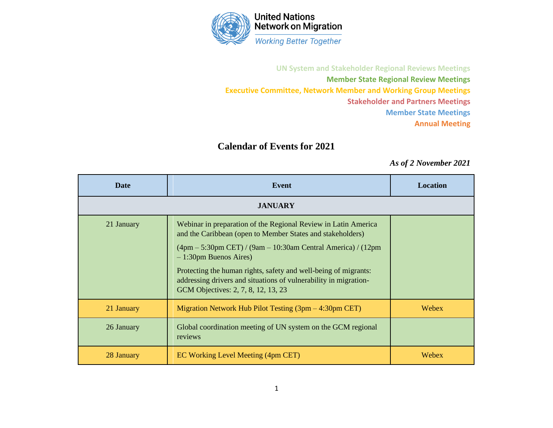

**UN System and Stakeholder Regional Reviews Meetings Member State Regional Review Meetings Executive Committee, Network Member and Working Group Meetings Stakeholder and Partners Meetings Member State Meetings Annual Meeting**

#### **Calendar of Events for 2021**

#### *As of 2 November 2021*

| <b>Date</b>    | Event                                                                                                                                                                      | <b>Location</b> |
|----------------|----------------------------------------------------------------------------------------------------------------------------------------------------------------------------|-----------------|
| <b>JANUARY</b> |                                                                                                                                                                            |                 |
| 21 January     | Webinar in preparation of the Regional Review in Latin America<br>and the Caribbean (open to Member States and stakeholders)                                               |                 |
|                | $(4\text{pm} - 5:30\text{pm CET}) / (9\text{am} - 10:30\text{am Central America}) / (12\text{pm})$<br>$-1:30$ pm Buenos Aires)                                             |                 |
|                | Protecting the human rights, safety and well-being of migrants:<br>addressing drivers and situations of vulnerability in migration-<br>GCM Objectives: 2, 7, 8, 12, 13, 23 |                 |
| 21 January     | Migration Network Hub Pilot Testing (3pm – 4:30pm CET)                                                                                                                     | Webex           |
| 26 January     | Global coordination meeting of UN system on the GCM regional<br>reviews                                                                                                    |                 |
| 28 January     | EC Working Level Meeting (4pm CET)                                                                                                                                         | Webex           |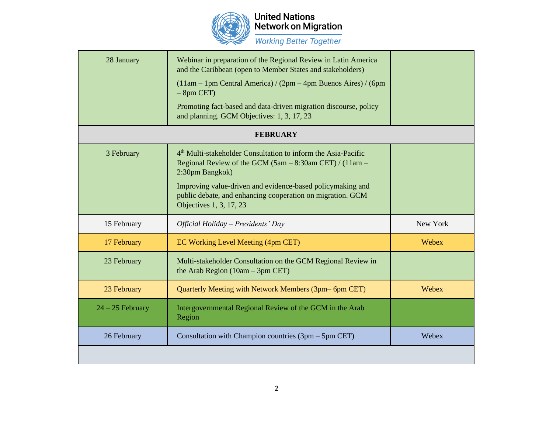

| 28 January         | Webinar in preparation of the Regional Review in Latin America<br>and the Caribbean (open to Member States and stakeholders)<br>$(11am - 1pm Central America) / (2pm - 4pm Buenos Aires) / (6pm$<br>$-$ 8pm CET)<br>Promoting fact-based and data-driven migration discourse, policy<br>and planning. GCM Objectives: 1, 3, 17, 23<br><b>FEBRUARY</b> |          |
|--------------------|-------------------------------------------------------------------------------------------------------------------------------------------------------------------------------------------------------------------------------------------------------------------------------------------------------------------------------------------------------|----------|
| 3 February         | 4 <sup>th</sup> Multi-stakeholder Consultation to inform the Asia-Pacific                                                                                                                                                                                                                                                                             |          |
|                    | Regional Review of the GCM $(5am - 8:30am CET) / (11am -$<br>2:30pm Bangkok)                                                                                                                                                                                                                                                                          |          |
|                    | Improving value-driven and evidence-based policymaking and<br>public debate, and enhancing cooperation on migration. GCM<br>Objectives 1, 3, 17, 23                                                                                                                                                                                                   |          |
| 15 February        | Official Holiday – Presidents' Day                                                                                                                                                                                                                                                                                                                    | New York |
| 17 February        | EC Working Level Meeting (4pm CET)                                                                                                                                                                                                                                                                                                                    | Webex    |
| 23 February        | Multi-stakeholder Consultation on the GCM Regional Review in<br>the Arab Region $(10am - 3pm CET)$                                                                                                                                                                                                                                                    |          |
| 23 February        | Quarterly Meeting with Network Members (3pm– 6pm CET)                                                                                                                                                                                                                                                                                                 | Webex    |
| $24 - 25$ February | Intergovernmental Regional Review of the GCM in the Arab<br>Region                                                                                                                                                                                                                                                                                    |          |
| 26 February        | Consultation with Champion countries (3pm – 5pm CET)                                                                                                                                                                                                                                                                                                  | Webex    |
|                    |                                                                                                                                                                                                                                                                                                                                                       |          |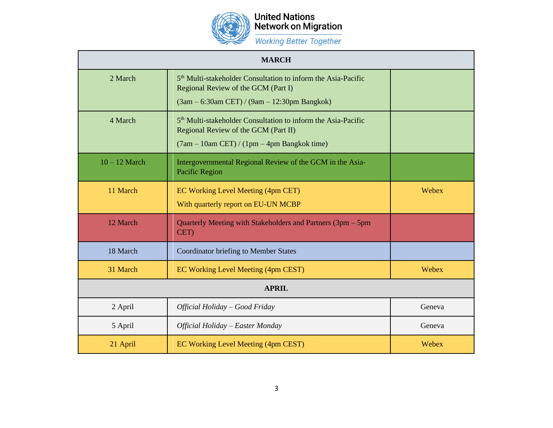

| <b>MARCH</b>    |                                                                                                                                                                    |        |
|-----------------|--------------------------------------------------------------------------------------------------------------------------------------------------------------------|--------|
| 2 March         | 5 <sup>th</sup> Multi-stakeholder Consultation to inform the Asia-Pacific<br>Regional Review of the GCM (Part I)<br>$(3am - 6:30am CET) / (9am - 12:30pm Bangkok)$ |        |
| 4 March         | 5 <sup>th</sup> Multi-stakeholder Consultation to inform the Asia-Pacific<br>Regional Review of the GCM (Part II)<br>$(7am - 10am CET) / (1pm - 4pm$ Bangkok time) |        |
| $10 - 12$ March | Intergovernmental Regional Review of the GCM in the Asia-<br>Pacific Region                                                                                        |        |
| 11 March        | EC Working Level Meeting (4pm CET)<br>With quarterly report on EU-UN MCBP                                                                                          | Webex  |
| 12 March        | Quarterly Meeting with Stakeholders and Partners (3pm – 5pm<br>CET)                                                                                                |        |
| 18 March        | <b>Coordinator briefing to Member States</b>                                                                                                                       |        |
| 31 March        | EC Working Level Meeting (4pm CEST)                                                                                                                                | Webex  |
| <b>APRIL</b>    |                                                                                                                                                                    |        |
| 2 April         | Official Holiday - Good Friday                                                                                                                                     | Geneva |
| 5 April         | Official Holiday - Easter Monday                                                                                                                                   | Geneva |
| 21 April        | EC Working Level Meeting (4pm CEST)                                                                                                                                | Webex  |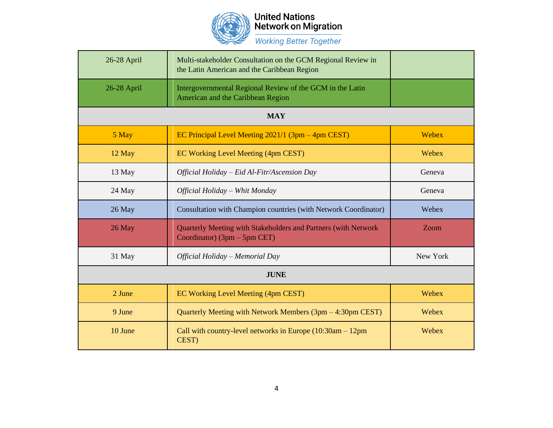

| 26-28 April | Multi-stakeholder Consultation on the GCM Regional Review in<br>the Latin American and the Caribbean Region |          |
|-------------|-------------------------------------------------------------------------------------------------------------|----------|
| 26-28 April | Intergovernmental Regional Review of the GCM in the Latin<br>American and the Caribbean Region              |          |
|             | <b>MAY</b>                                                                                                  |          |
| 5 May       | EC Principal Level Meeting $2021/1$ (3pm $-4$ pm CEST)                                                      | Webex    |
| 12 May      | EC Working Level Meeting (4pm CEST)                                                                         | Webex    |
| 13 May      | Official Holiday - Eid Al-Fitr/Ascension Day                                                                | Geneva   |
| 24 May      | Official Holiday - Whit Monday                                                                              | Geneva   |
| 26 May      | Consultation with Champion countries (with Network Coordinator)                                             | Webex    |
| 26 May      | Quarterly Meeting with Stakeholders and Partners (with Network<br>Coordinator) $(3pm - 5pm CET)$            | Zoom     |
| 31 May      | Official Holiday - Memorial Day                                                                             | New York |
| <b>JUNE</b> |                                                                                                             |          |
| 2 June      | EC Working Level Meeting (4pm CEST)                                                                         | Webex    |
| 9 June      | Quarterly Meeting with Network Members (3pm - 4:30pm CEST)                                                  | Webex    |
| 10 June     | Call with country-level networks in Europe $(10:30am - 12pm$<br>CEST)                                       | Webex    |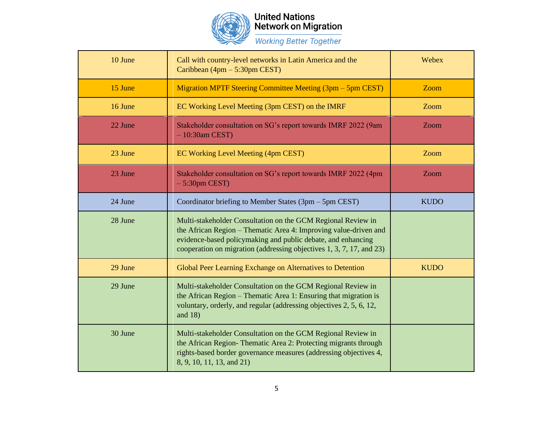

| 10 June | Call with country-level networks in Latin America and the<br>Caribbean $(4pm - 5:30pm$ CEST)                                                                                                                                                                             | Webex       |
|---------|--------------------------------------------------------------------------------------------------------------------------------------------------------------------------------------------------------------------------------------------------------------------------|-------------|
| 15 June | Migration MPTF Steering Committee Meeting (3pm – 5pm CEST)                                                                                                                                                                                                               | Zoom        |
| 16 June | EC Working Level Meeting (3pm CEST) on the IMRF                                                                                                                                                                                                                          | Zoom        |
| 22 June | Stakeholder consultation on SG's report towards IMRF 2022 (9am<br>$-10:30$ am CEST)                                                                                                                                                                                      | Zoom        |
| 23 June | EC Working Level Meeting (4pm CEST)                                                                                                                                                                                                                                      | Zoom        |
| 23 June | Stakeholder consultation on SG's report towards IMRF 2022 (4pm<br>$-5:30$ pm CEST)                                                                                                                                                                                       | Zoom        |
| 24 June | Coordinator briefing to Member States (3pm - 5pm CEST)                                                                                                                                                                                                                   | <b>KUDO</b> |
| 28 June | Multi-stakeholder Consultation on the GCM Regional Review in<br>the African Region - Thematic Area 4: Improving value-driven and<br>evidence-based policymaking and public debate, and enhancing<br>cooperation on migration (addressing objectives 1, 3, 7, 17, and 23) |             |
| 29 June | Global Peer Learning Exchange on Alternatives to Detention                                                                                                                                                                                                               | <b>KUDO</b> |
| 29 June | Multi-stakeholder Consultation on the GCM Regional Review in<br>the African Region - Thematic Area 1: Ensuring that migration is<br>voluntary, orderly, and regular (addressing objectives 2, 5, 6, 12,<br>and $18)$                                                     |             |
| 30 June | Multi-stakeholder Consultation on the GCM Regional Review in<br>the African Region-Thematic Area 2: Protecting migrants through<br>rights-based border governance measures (addressing objectives 4,<br>8, 9, 10, 11, 13, and 21)                                        |             |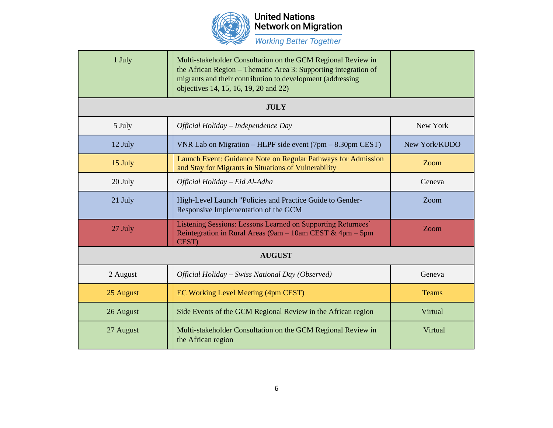

| 1 July        | Multi-stakeholder Consultation on the GCM Regional Review in<br>the African Region – Thematic Area 3: Supporting integration of<br>migrants and their contribution to development (addressing<br>objectives 14, 15, 16, 19, 20 and 22) |               |
|---------------|----------------------------------------------------------------------------------------------------------------------------------------------------------------------------------------------------------------------------------------|---------------|
|               | <b>JULY</b>                                                                                                                                                                                                                            |               |
| 5 July        | Official Holiday – Independence Day                                                                                                                                                                                                    | New York      |
| 12 July       | VNR Lab on Migration – HLPF side event $(7 \text{pm} - 8.30 \text{pm} \text{ CEST})$                                                                                                                                                   | New York/KUDO |
| 15 July       | Launch Event: Guidance Note on Regular Pathways for Admission<br>and Stay for Migrants in Situations of Vulnerability                                                                                                                  | Zoom          |
| 20 July       | Official Holiday - Eid Al-Adha                                                                                                                                                                                                         | Geneva        |
| 21 July       | High-Level Launch "Policies and Practice Guide to Gender-<br>Responsive Implementation of the GCM                                                                                                                                      | Zoom          |
| 27 July       | Listening Sessions: Lessons Learned on Supporting Returnees'<br>Reintegration in Rural Areas (9am - 10am CEST & 4pm - 5pm<br>CEST)                                                                                                     | Zoom          |
| <b>AUGUST</b> |                                                                                                                                                                                                                                        |               |
| 2 August      | Official Holiday – Swiss National Day (Observed)                                                                                                                                                                                       | Geneva        |
| 25 August     | EC Working Level Meeting (4pm CEST)                                                                                                                                                                                                    | <b>Teams</b>  |
| 26 August     | Side Events of the GCM Regional Review in the African region                                                                                                                                                                           | Virtual       |
| 27 August     | Multi-stakeholder Consultation on the GCM Regional Review in<br>the African region                                                                                                                                                     | Virtual       |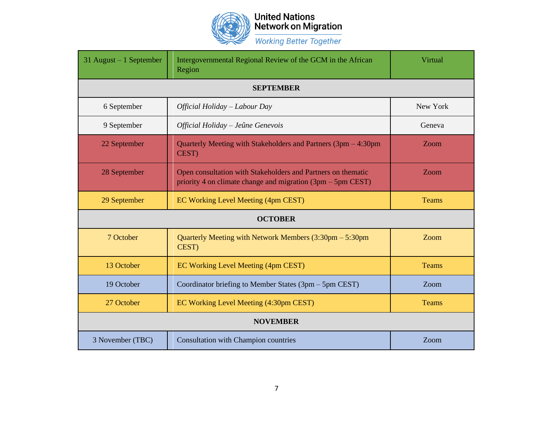

| 31 August $-1$ September | Intergovernmental Regional Review of the GCM in the African<br>Region                                                       | <b>Virtual</b> |
|--------------------------|-----------------------------------------------------------------------------------------------------------------------------|----------------|
|                          | <b>SEPTEMBER</b>                                                                                                            |                |
| 6 September              | Official Holiday - Labour Day                                                                                               | New York       |
| 9 September              | Official Holiday – Jeûne Genevois                                                                                           | Geneva         |
| 22 September             | Quarterly Meeting with Stakeholders and Partners (3pm – 4:30pm)<br>CEST)                                                    | Zoom           |
| 28 September             | Open consultation with Stakeholders and Partners on thematic<br>priority 4 on climate change and migration (3pm – 5pm CEST) | Zoom           |
| 29 September             | EC Working Level Meeting (4pm CEST)                                                                                         | <b>Teams</b>   |
| <b>OCTOBER</b>           |                                                                                                                             |                |
| 7 October                | Quarterly Meeting with Network Members $(3:30 \text{pm} - 5:30 \text{pm})$<br>CEST)                                         | Zoom           |
| 13 October               | EC Working Level Meeting (4pm CEST)                                                                                         | <b>Teams</b>   |
| 19 October               | Coordinator briefing to Member States (3pm – 5pm CEST)                                                                      | Zoom           |
| 27 October               | EC Working Level Meeting (4:30pm CEST)                                                                                      | <b>Teams</b>   |
| <b>NOVEMBER</b>          |                                                                                                                             |                |
| 3 November (TBC)         | <b>Consultation with Champion countries</b>                                                                                 | Zoom           |